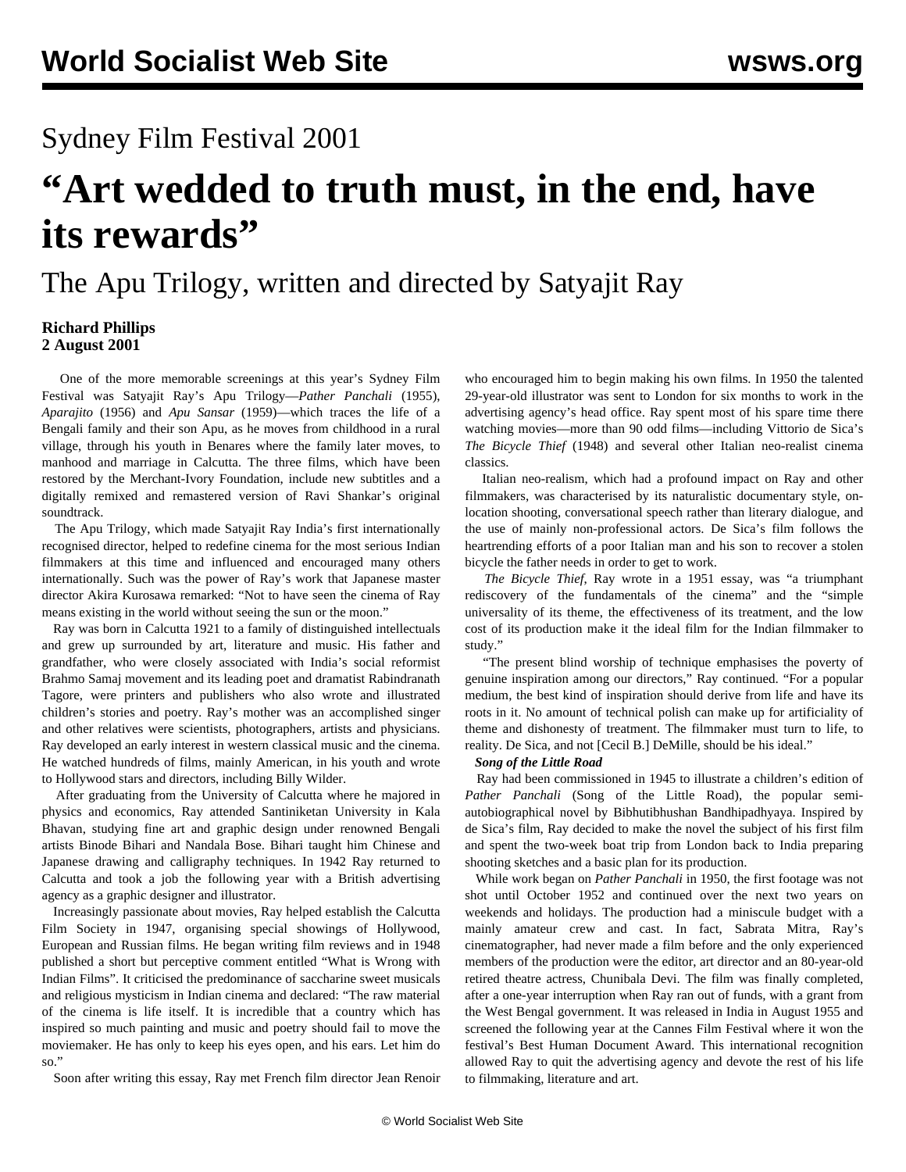## Sydney Film Festival 2001

# **"Art wedded to truth must, in the end, have its rewards"**

# The Apu Trilogy, written and directed by Satyajit Ray

## **Richard Phillips 2 August 2001**

 One of the more memorable screenings at this year's Sydney Film Festival was Satyajit Ray's Apu Trilogy—*Pather Panchali* (1955), *Aparajito* (1956) and *Apu Sansar* (1959)—which traces the life of a Bengali family and their son Apu, as he moves from childhood in a rural village, through his youth in Benares where the family later moves, to manhood and marriage in Calcutta. The three films, which have been restored by the Merchant-Ivory Foundation, include new subtitles and a digitally remixed and remastered version of Ravi Shankar's original soundtrack.

 The Apu Trilogy, which made Satyajit Ray India's first internationally recognised director, helped to redefine cinema for the most serious Indian filmmakers at this time and influenced and encouraged many others internationally. Such was the power of Ray's work that Japanese master director Akira Kurosawa remarked: "Not to have seen the cinema of Ray means existing in the world without seeing the sun or the moon."

 Ray was born in Calcutta 1921 to a family of distinguished intellectuals and grew up surrounded by art, literature and music. His father and grandfather, who were closely associated with India's social reformist Brahmo Samaj movement and its leading poet and dramatist Rabindranath Tagore, were printers and publishers who also wrote and illustrated children's stories and poetry. Ray's mother was an accomplished singer and other relatives were scientists, photographers, artists and physicians. Ray developed an early interest in western classical music and the cinema. He watched hundreds of films, mainly American, in his youth and wrote to Hollywood stars and directors, including Billy Wilder.

 After graduating from the University of Calcutta where he majored in physics and economics, Ray attended Santiniketan University in Kala Bhavan, studying fine art and graphic design under renowned Bengali artists Binode Bihari and Nandala Bose. Bihari taught him Chinese and Japanese drawing and calligraphy techniques. In 1942 Ray returned to Calcutta and took a job the following year with a British advertising agency as a graphic designer and illustrator.

 Increasingly passionate about movies, Ray helped establish the Calcutta Film Society in 1947, organising special showings of Hollywood, European and Russian films. He began writing film reviews and in 1948 published a short but perceptive comment entitled "What is Wrong with Indian Films". It criticised the predominance of saccharine sweet musicals and religious mysticism in Indian cinema and declared: "The raw material of the cinema is life itself. It is incredible that a country which has inspired so much painting and music and poetry should fail to move the moviemaker. He has only to keep his eyes open, and his ears. Let him do so."

Soon after writing this essay, Ray met French film director Jean Renoir

who encouraged him to begin making his own films. In 1950 the talented 29-year-old illustrator was sent to London for six months to work in the advertising agency's head office. Ray spent most of his spare time there watching movies—more than 90 odd films—including Vittorio de Sica's *The Bicycle Thief* (1948) and several other Italian neo-realist cinema classics.

 Italian neo-realism, which had a profound impact on Ray and other filmmakers, was characterised by its naturalistic documentary style, onlocation shooting, conversational speech rather than literary dialogue, and the use of mainly non-professional actors. De Sica's film follows the heartrending efforts of a poor Italian man and his son to recover a stolen bicycle the father needs in order to get to work.

 *The Bicycle Thief*, Ray wrote in a 1951 essay, was "a triumphant rediscovery of the fundamentals of the cinema" and the "simple universality of its theme, the effectiveness of its treatment, and the low cost of its production make it the ideal film for the Indian filmmaker to study."

 "The present blind worship of technique emphasises the poverty of genuine inspiration among our directors," Ray continued. "For a popular medium, the best kind of inspiration should derive from life and have its roots in it. No amount of technical polish can make up for artificiality of theme and dishonesty of treatment. The filmmaker must turn to life, to reality. De Sica, and not [Cecil B.] DeMille, should be his ideal."

### *Song of the Little Road*

 Ray had been commissioned in 1945 to illustrate a children's edition of *Pather Panchali* (Song of the Little Road), the popular semiautobiographical novel by Bibhutibhushan Bandhipadhyaya. Inspired by de Sica's film, Ray decided to make the novel the subject of his first film and spent the two-week boat trip from London back to India preparing shooting sketches and a basic plan for its production.

 While work began on *Pather Panchali* in 1950, the first footage was not shot until October 1952 and continued over the next two years on weekends and holidays. The production had a miniscule budget with a mainly amateur crew and cast. In fact, Sabrata Mitra, Ray's cinematographer, had never made a film before and the only experienced members of the production were the editor, art director and an 80-year-old retired theatre actress, Chunibala Devi. The film was finally completed, after a one-year interruption when Ray ran out of funds, with a grant from the West Bengal government. It was released in India in August 1955 and screened the following year at the Cannes Film Festival where it won the festival's Best Human Document Award. This international recognition allowed Ray to quit the advertising agency and devote the rest of his life to filmmaking, literature and art.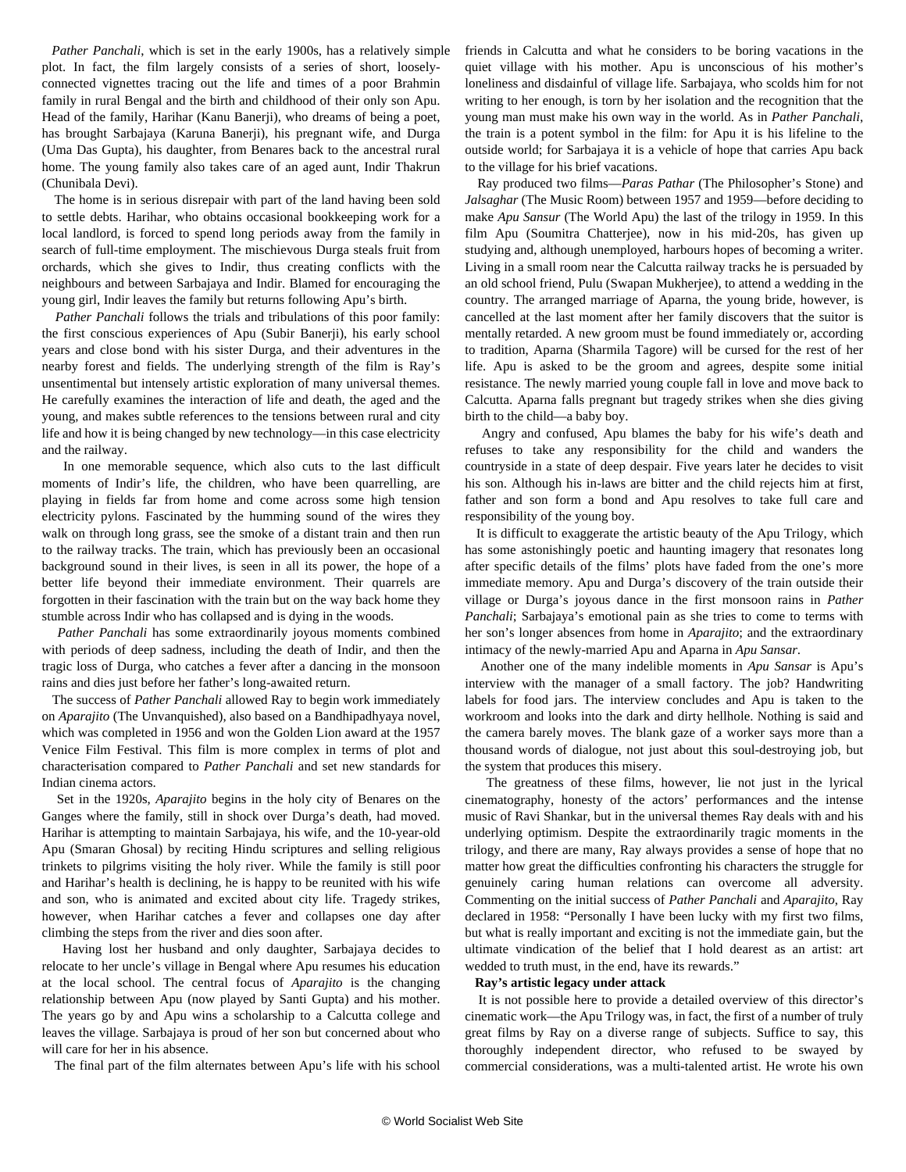*Pather Panchali*, which is set in the early 1900s, has a relatively simple plot. In fact, the film largely consists of a series of short, looselyconnected vignettes tracing out the life and times of a poor Brahmin family in rural Bengal and the birth and childhood of their only son Apu. Head of the family, Harihar (Kanu Banerji), who dreams of being a poet, has brought Sarbajaya (Karuna Banerji), his pregnant wife, and Durga (Uma Das Gupta), his daughter, from Benares back to the ancestral rural home. The young family also takes care of an aged aunt, Indir Thakrun (Chunibala Devi).

 The home is in serious disrepair with part of the land having been sold to settle debts. Harihar, who obtains occasional bookkeeping work for a local landlord, is forced to spend long periods away from the family in search of full-time employment. The mischievous Durga steals fruit from orchards, which she gives to Indir, thus creating conflicts with the neighbours and between Sarbajaya and Indir. Blamed for encouraging the young girl, Indir leaves the family but returns following Apu's birth.

 *Pather Panchali* follows the trials and tribulations of this poor family: the first conscious experiences of Apu (Subir Banerji), his early school years and close bond with his sister Durga, and their adventures in the nearby forest and fields. The underlying strength of the film is Ray's unsentimental but intensely artistic exploration of many universal themes. He carefully examines the interaction of life and death, the aged and the young, and makes subtle references to the tensions between rural and city life and how it is being changed by new technology—in this case electricity and the railway.

 In one memorable sequence, which also cuts to the last difficult moments of Indir's life, the children, who have been quarrelling, are playing in fields far from home and come across some high tension electricity pylons. Fascinated by the humming sound of the wires they walk on through long grass, see the smoke of a distant train and then run to the railway tracks. The train, which has previously been an occasional background sound in their lives, is seen in all its power, the hope of a better life beyond their immediate environment. Their quarrels are forgotten in their fascination with the train but on the way back home they stumble across Indir who has collapsed and is dying in the woods.

 *Pather Panchali* has some extraordinarily joyous moments combined with periods of deep sadness, including the death of Indir, and then the tragic loss of Durga, who catches a fever after a dancing in the monsoon rains and dies just before her father's long-awaited return.

 The success of *Pather Panchali* allowed Ray to begin work immediately on *Aparajito* (The Unvanquished), also based on a Bandhipadhyaya novel, which was completed in 1956 and won the Golden Lion award at the 1957 Venice Film Festival. This film is more complex in terms of plot and characterisation compared to *Pather Panchali* and set new standards for Indian cinema actors.

 Set in the 1920s, *Aparajito* begins in the holy city of Benares on the Ganges where the family, still in shock over Durga's death, had moved. Harihar is attempting to maintain Sarbajaya, his wife, and the 10-year-old Apu (Smaran Ghosal) by reciting Hindu scriptures and selling religious trinkets to pilgrims visiting the holy river. While the family is still poor and Harihar's health is declining, he is happy to be reunited with his wife and son, who is animated and excited about city life. Tragedy strikes, however, when Harihar catches a fever and collapses one day after climbing the steps from the river and dies soon after.

 Having lost her husband and only daughter, Sarbajaya decides to relocate to her uncle's village in Bengal where Apu resumes his education at the local school. The central focus of *Aparajito* is the changing relationship between Apu (now played by Santi Gupta) and his mother. The years go by and Apu wins a scholarship to a Calcutta college and leaves the village. Sarbajaya is proud of her son but concerned about who will care for her in his absence.

The final part of the film alternates between Apu's life with his school

friends in Calcutta and what he considers to be boring vacations in the quiet village with his mother. Apu is unconscious of his mother's loneliness and disdainful of village life. Sarbajaya, who scolds him for not writing to her enough, is torn by her isolation and the recognition that the young man must make his own way in the world. As in *Pather Panchali*, the train is a potent symbol in the film: for Apu it is his lifeline to the outside world; for Sarbajaya it is a vehicle of hope that carries Apu back to the village for his brief vacations.

 Ray produced two films—*Paras Pathar* (The Philosopher's Stone) and *Jalsaghar* (The Music Room) between 1957 and 1959—before deciding to make *Apu Sansur* (The World Apu) the last of the trilogy in 1959. In this film Apu (Soumitra Chatterjee), now in his mid-20s, has given up studying and, although unemployed, harbours hopes of becoming a writer. Living in a small room near the Calcutta railway tracks he is persuaded by an old school friend, Pulu (Swapan Mukherjee), to attend a wedding in the country. The arranged marriage of Aparna, the young bride, however, is cancelled at the last moment after her family discovers that the suitor is mentally retarded. A new groom must be found immediately or, according to tradition, Aparna (Sharmila Tagore) will be cursed for the rest of her life. Apu is asked to be the groom and agrees, despite some initial resistance. The newly married young couple fall in love and move back to Calcutta. Aparna falls pregnant but tragedy strikes when she dies giving birth to the child—a baby boy.

 Angry and confused, Apu blames the baby for his wife's death and refuses to take any responsibility for the child and wanders the countryside in a state of deep despair. Five years later he decides to visit his son. Although his in-laws are bitter and the child rejects him at first, father and son form a bond and Apu resolves to take full care and responsibility of the young boy.

 It is difficult to exaggerate the artistic beauty of the Apu Trilogy, which has some astonishingly poetic and haunting imagery that resonates long after specific details of the films' plots have faded from the one's more immediate memory. Apu and Durga's discovery of the train outside their village or Durga's joyous dance in the first monsoon rains in *Pather Panchali*; Sarbajaya's emotional pain as she tries to come to terms with her son's longer absences from home in *Aparajito*; and the extraordinary intimacy of the newly-married Apu and Aparna in *Apu Sansar*.

 Another one of the many indelible moments in *Apu Sansar* is Apu's interview with the manager of a small factory. The job? Handwriting labels for food jars. The interview concludes and Apu is taken to the workroom and looks into the dark and dirty hellhole. Nothing is said and the camera barely moves. The blank gaze of a worker says more than a thousand words of dialogue, not just about this soul-destroying job, but the system that produces this misery.

 The greatness of these films, however, lie not just in the lyrical cinematography, honesty of the actors' performances and the intense music of Ravi Shankar, but in the universal themes Ray deals with and his underlying optimism. Despite the extraordinarily tragic moments in the trilogy, and there are many, Ray always provides a sense of hope that no matter how great the difficulties confronting his characters the struggle for genuinely caring human relations can overcome all adversity. Commenting on the initial success of *Pather Panchali* and *Aparajito*, Ray declared in 1958: "Personally I have been lucky with my first two films, but what is really important and exciting is not the immediate gain, but the ultimate vindication of the belief that I hold dearest as an artist: art wedded to truth must, in the end, have its rewards."

### **Ray's artistic legacy under attack**

 It is not possible here to provide a detailed overview of this director's cinematic work—the Apu Trilogy was, in fact, the first of a number of truly great films by Ray on a diverse range of subjects. Suffice to say, this thoroughly independent director, who refused to be swayed by commercial considerations, was a multi-talented artist. He wrote his own